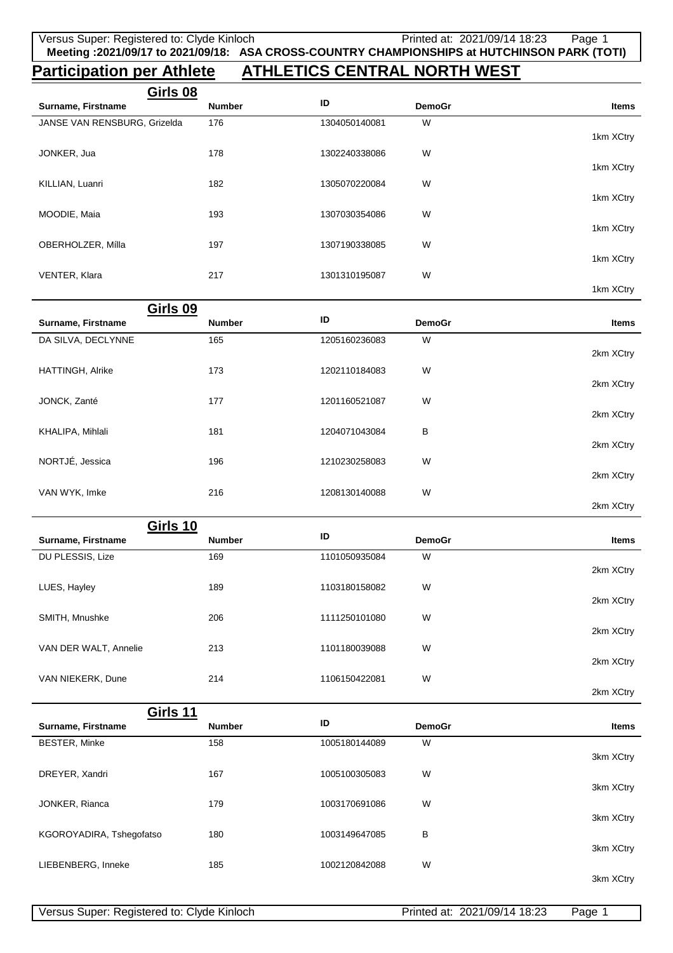## **Participation per Athlete ATHLETICS CENTRAL NORTH WEST**

| Girls 08                     |               |               |               |           |
|------------------------------|---------------|---------------|---------------|-----------|
| Surname, Firstname           | <b>Number</b> | ID            | <b>DemoGr</b> | Items     |
| JANSE VAN RENSBURG, Grizelda | 176           | 1304050140081 | W             |           |
|                              |               |               |               | 1km XCtry |
| JONKER, Jua                  | 178           | 1302240338086 | W             |           |
|                              |               |               |               | 1km XCtry |
| KILLIAN, Luanri              | 182           | 1305070220084 | W             |           |
|                              |               |               |               | 1km XCtry |
| MOODIE, Maia                 | 193           | 1307030354086 | W             |           |
|                              |               |               |               | 1km XCtry |
| OBERHOLZER, Mílla            | 197           | 1307190338085 | W             | 1km XCtry |
|                              |               |               |               |           |
| VENTER, Klara                | 217           | 1301310195087 | W             | 1km XCtry |
|                              |               |               |               |           |

|                    | Girls 09      |               |               |              |
|--------------------|---------------|---------------|---------------|--------------|
| Surname, Firstname | <b>Number</b> | ID            | <b>DemoGr</b> | <b>Items</b> |
| DA SILVA, DECLYNNE | 165           | 1205160236083 | W             |              |
|                    |               |               |               | 2km XCtry    |
| HATTINGH, Alrike   | 173           | 1202110184083 | W             |              |
|                    |               |               |               | 2km XCtry    |
| JONCK, Zanté       | 177           | 1201160521087 | W             |              |
|                    |               |               |               | 2km XCtry    |
| KHALIPA, Mihlali   | 181           | 1204071043084 | B             |              |
|                    |               |               |               | 2km XCtry    |
| NORTJÉ, Jessica    | 196           | 1210230258083 | W             |              |
|                    |               |               |               | 2km XCtry    |
| VAN WYK, Imke      | 216           | 1208130140088 | W             |              |
|                    |               |               |               | 2km XCtry    |

|                       | Girls 10      |               |               |              |
|-----------------------|---------------|---------------|---------------|--------------|
| Surname, Firstname    | <b>Number</b> | ID            | <b>DemoGr</b> | <b>Items</b> |
| DU PLESSIS, Lize      | 169           | 1101050935084 | W             |              |
|                       |               |               |               | 2km XCtry    |
| LUES, Hayley          | 189           | 1103180158082 | W             |              |
|                       |               |               |               | 2km XCtry    |
| SMITH, Mnushke        | 206           | 1111250101080 | W             |              |
|                       |               |               |               | 2km XCtry    |
| VAN DER WALT, Annelie | 213           | 1101180039088 | W             |              |
|                       |               |               |               | 2km XCtry    |
| VAN NIEKERK, Dune     | 214           | 1106150422081 | W             |              |

| Girls 11                 |               |               |               |              |
|--------------------------|---------------|---------------|---------------|--------------|
| Surname, Firstname       | <b>Number</b> | ID            | <b>DemoGr</b> | <b>Items</b> |
| <b>BESTER, Minke</b>     | 158           | 1005180144089 | W             | 3km XCtry    |
| DREYER, Xandri           | 167           | 1005100305083 | W             | 3km XCtry    |
| JONKER, Rianca           | 179           | 1003170691086 | W             | 3km XCtry    |
| KGOROYADIRA, Tshegofatso | 180           | 1003149647085 | B             | 3km XCtry    |
| LIEBENBERG, Inneke       | 185           | 1002120842088 | W             | 3km XCtry    |

2km XCtry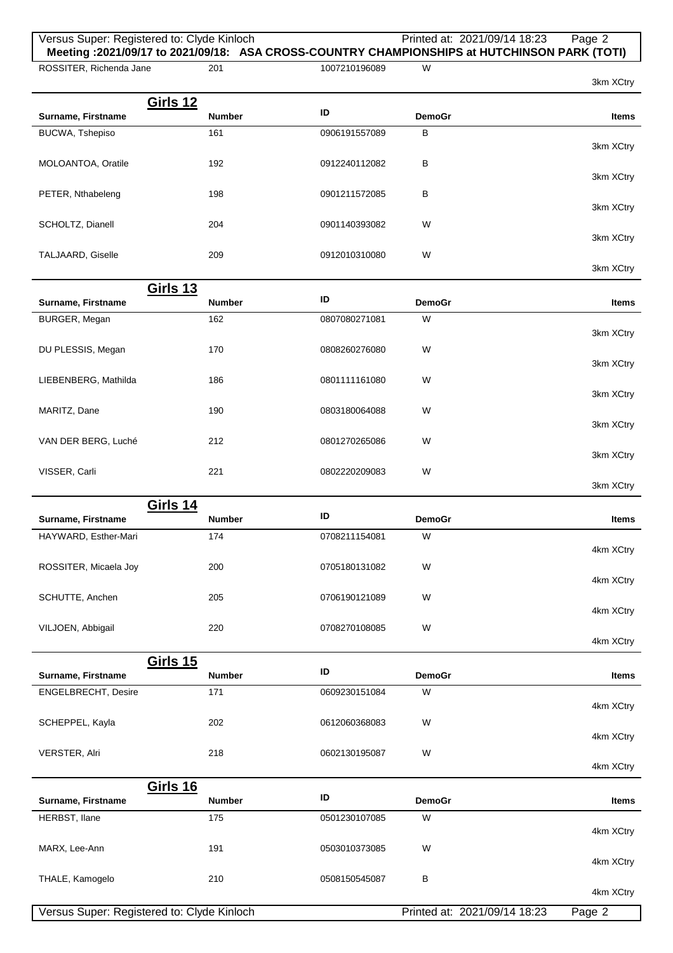| ROSSITER, Richenda Jane                   |                      |                                |                    | Meeting :2021/09/17 to 2021/09/18: ASA CROSS-COUNTRY CHAMPIONSHIPS at HUTCHINSON PARK (TOTI) |
|-------------------------------------------|----------------------|--------------------------------|--------------------|----------------------------------------------------------------------------------------------|
|                                           | 201                  | 1007210196089                  | W                  | 3km XCtry                                                                                    |
| <b>Girls 12</b><br>Surname, Firstname     | Number               | ID                             | <b>DemoGr</b>      | <b>Items</b>                                                                                 |
| BUCWA, Tshepiso                           | 161                  | 0906191557089                  | B                  | 3km XCtry                                                                                    |
| MOLOANTOA, Oratile                        | 192                  | 0912240112082                  | В                  | 3km XCtry                                                                                    |
| PETER, Nthabeleng                         | 198                  | 0901211572085                  | в                  | 3km XCtry                                                                                    |
| SCHOLTZ, Dianell                          | 204                  | 0901140393082                  | W                  | 3km XCtry                                                                                    |
| TALJAARD, Giselle                         | 209                  | 0912010310080                  | W                  | 3km XCtry                                                                                    |
| <b>Girls 13</b>                           |                      |                                |                    |                                                                                              |
| Surname, Firstname                        | <b>Number</b>        | ID                             | <b>DemoGr</b>      | <b>Items</b>                                                                                 |
| BURGER, Megan                             | 162                  | 0807080271081                  | W                  | 3km XCtry                                                                                    |
| DU PLESSIS, Megan                         | 170                  | 0808260276080                  | W                  | 3km XCtry                                                                                    |
| LIEBENBERG, Mathilda                      | 186                  | 0801111161080                  | W                  | 3km XCtry                                                                                    |
| MARITZ, Dane                              | 190                  | 0803180064088                  | W                  | 3km XCtry                                                                                    |
| VAN DER BERG, Luché                       | 212                  | 0801270265086                  | W                  | 3km XCtry                                                                                    |
| VISSER, Carli                             | 221                  | 0802220209083                  | W                  | 3km XCtry                                                                                    |
|                                           |                      |                                |                    |                                                                                              |
| <b>Girls 14</b>                           |                      | ID                             |                    |                                                                                              |
| Surname, Firstname                        | Number               |                                | <b>DemoGr</b>      | <b>Items</b>                                                                                 |
| HAYWARD, Esther-Mari                      |                      |                                |                    |                                                                                              |
|                                           | 174                  | 0708211154081                  | W                  | 4km XCtry                                                                                    |
| ROSSITER, Micaela Joy                     | 200                  | 0705180131082                  | W                  | 4km XCtry                                                                                    |
| SCHUTTE, Anchen                           | 205                  | 0706190121089                  | W                  | 4km XCtry                                                                                    |
| VILJOEN, Abbigail                         | 220                  | 0708270108085                  | W                  | 4km XCtry                                                                                    |
|                                           |                      |                                |                    |                                                                                              |
| <b>Girls 15</b>                           |                      | ID                             |                    |                                                                                              |
| Surname, Firstname<br>ENGELBRECHT, Desire | <b>Number</b><br>171 | 0609230151084                  | <b>DemoGr</b><br>W | <b>Items</b><br>4km XCtry                                                                    |
| SCHEPPEL, Kayla                           | 202                  | 0612060368083                  | W                  |                                                                                              |
| VERSTER, Alri                             | 218                  | 0602130195087                  | W                  | 4km XCtry                                                                                    |
|                                           |                      |                                |                    | 4km XCtry                                                                                    |
| <b>Girls 16</b><br>Surname, Firstname     | Number               | ID                             | <b>DemoGr</b>      | <b>Items</b>                                                                                 |
|                                           |                      |                                |                    |                                                                                              |
| HERBST, Ilane                             | 175                  | 0501230107085                  | W                  | 4km XCtry                                                                                    |
| MARX, Lee-Ann<br>THALE, Kamogelo          | 191<br>210           | 0503010373085<br>0508150545087 | W<br>В             | 4km XCtry                                                                                    |

Versus Super: Registered to: Clyde Kinloch Printed at: 2021/09/14 18:23 Page 2

Versus Super: Registered to: Clyde Kinloch Printed at: 2021/09/14 18:23 Page 2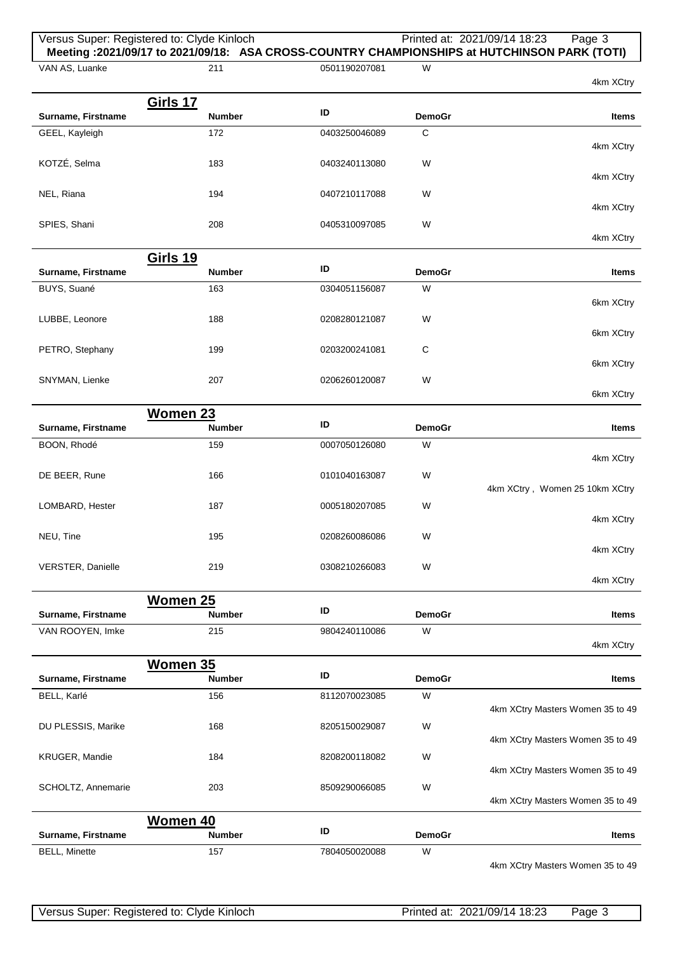## Versus Super: Registered to: Clyde Kinloch Printed at: 2021/09/14 18:23 Page 3 **Meeting :2021/09/17 to 2021/09/18: ASA CROSS-COUNTRY CHAMPIONSHIPS at HUTCHINSON PARK (TOTI)**

**Surname, Firstname ID DemoGraphic Litems ID DemoGraphic Litems ID** 

211 0501190207081 W

VAN AS, Luanke

GEEL, Kayleigh

KOTZÉ, Selma

**Girls 17**

| 183 | 0403240113080 | W |  |
|-----|---------------|---|--|

172 0403250046089 C

|              |     |               |   | 4km XCtry |
|--------------|-----|---------------|---|-----------|
| NEL, Riana   | 194 | 0407210117088 | W |           |
|              |     |               |   | 4km XCtry |
| SPIES, Shani | 208 | 0405310097085 | W |           |
|              |     |               |   | 4km XCtry |

|              |               |               | Girls 19      |                    |
|--------------|---------------|---------------|---------------|--------------------|
| <b>Items</b> | <b>DemoGr</b> | ID            | <b>Number</b> | Surname, Firstname |
|              | W             | 0304051156087 | 163           | BUYS, Suané        |
| 6km XCtry    |               |               |               |                    |
|              | W             | 0208280121087 | 188           | LUBBE, Leonore     |
| 6km XCtry    |               |               |               |                    |
|              | C             | 0203200241081 | 199           | PETRO, Stephany    |
| 6km XCtry    |               |               |               |                    |
|              | W             | 0206260120087 | 207           | SNYMAN, Lienke     |

|                          | Women 23      |               |               |                                |
|--------------------------|---------------|---------------|---------------|--------------------------------|
| Surname, Firstname       | <b>Number</b> | ID            | <b>DemoGr</b> | <b>Items</b>                   |
| BOON, Rhodé              | 159           | 0007050126080 | W             |                                |
|                          |               |               |               | 4km XCtry                      |
| DE BEER, Rune            | 166           | 0101040163087 | W             |                                |
|                          |               |               |               | 4km XCtry, Women 25 10km XCtry |
| LOMBARD, Hester          | 187           | 0005180207085 | W             |                                |
|                          |               |               |               | 4km XCtry                      |
| NEU, Tine                | 195           | 0208260086086 | W             |                                |
|                          |               |               |               | 4km XCtry                      |
| <b>VERSTER, Danielle</b> | 219           | 0308210266083 | W             |                                |

|                    |               |               |               | 4km XCtry |
|--------------------|---------------|---------------|---------------|-----------|
|                    | Women 25      |               |               |           |
| Surname, Firstname | <b>Number</b> | ID            | <b>DemoGr</b> | Items     |
| VAN ROOYEN, Imke   | 215           | 9804240110086 | W             |           |
|                    |               |               |               | 4km XCtry |

|                       | Women 35      |               |               |                                  |
|-----------------------|---------------|---------------|---------------|----------------------------------|
| Surname, Firstname    | <b>Number</b> | ID            | <b>DemoGr</b> | <b>Items</b>                     |
| BELL, Karlé           | 156           | 8112070023085 | W             |                                  |
|                       |               |               |               | 4km XCtry Masters Women 35 to 49 |
| DU PLESSIS, Marike    | 168           | 8205150029087 | W             |                                  |
|                       |               |               |               | 4km XCtry Masters Women 35 to 49 |
| <b>KRUGER, Mandie</b> | 184           | 8208200118082 | W             |                                  |
|                       |               |               |               | 4km XCtry Masters Women 35 to 49 |
| SCHOLTZ, Annemarie    | 203           | 8509290066085 | W             |                                  |
|                       |               |               |               | 4km XCtry Masters Women 35 to 49 |
|                       | Women 40      |               |               |                                  |
| Surname, Firstname    | <b>Number</b> | ID            | <b>DemoGr</b> | <b>Items</b>                     |
| <b>BELL, Minette</b>  | 157           | 7804050020088 | W             |                                  |

4km XCtry Masters Women 35 to 49

4km XCtry

4km XCtry

6km XCtry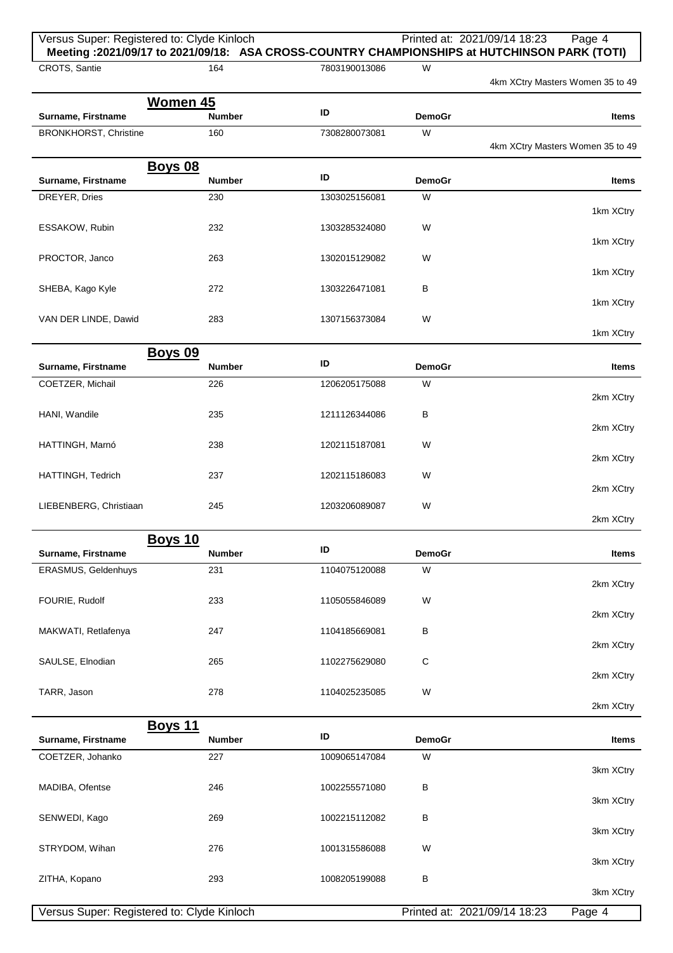| Versus Super: Registered to: Clyde Kinloch<br>Meeting: 2021/09/17 to 2021/09/18: ASA CROSS-COUNTRY CHAMPIONSHIPS at HUTCHINSON PARK (TOTI) |                                 |               |                    | Printed at: 2021/09/14 18:23 | Page 4                           |
|--------------------------------------------------------------------------------------------------------------------------------------------|---------------------------------|---------------|--------------------|------------------------------|----------------------------------|
| CROTS, Santie                                                                                                                              | 164                             | 7803190013086 | W                  |                              | 4km XCtry Masters Women 35 to 49 |
|                                                                                                                                            | Women 45                        |               |                    |                              |                                  |
| Surname, Firstname                                                                                                                         | <b>Number</b>                   | ID            | <b>DemoGr</b>      |                              | Items                            |
| <b>BRONKHORST, Christine</b>                                                                                                               | 160                             | 7308280073081 | W                  |                              | 4km XCtry Masters Women 35 to 49 |
|                                                                                                                                            | <b>Boys 08</b>                  |               |                    |                              |                                  |
| Surname, Firstname                                                                                                                         | <b>Number</b>                   | ID            | <b>DemoGr</b>      |                              | Items                            |
| DREYER, Dries                                                                                                                              | 230                             | 1303025156081 | W                  |                              | 1km XCtry                        |
| ESSAKOW, Rubin                                                                                                                             | 232                             | 1303285324080 | W                  |                              | 1km XCtry                        |
| PROCTOR, Janco                                                                                                                             | 263                             | 1302015129082 | W                  |                              | 1km XCtry                        |
| SHEBA, Kago Kyle                                                                                                                           | 272                             | 1303226471081 | В                  |                              |                                  |
| VAN DER LINDE, Dawid                                                                                                                       | 283                             | 1307156373084 | W                  |                              | 1km XCtry                        |
|                                                                                                                                            |                                 |               |                    |                              | 1km XCtry                        |
| Surname, Firstname                                                                                                                         | <b>Boys 09</b><br><b>Number</b> | ID            | <b>DemoGr</b>      |                              | Items                            |
| COETZER, Michail                                                                                                                           | 226                             | 1206205175088 | W                  |                              |                                  |
| HANI, Wandile                                                                                                                              | 235                             | 1211126344086 | В                  |                              | 2km XCtry                        |
|                                                                                                                                            |                                 |               |                    |                              | 2km XCtry                        |
| HATTINGH, Marnó                                                                                                                            | 238                             | 1202115187081 | W                  |                              | 2km XCtry                        |
| HATTINGH, Tedrich                                                                                                                          | 237                             | 1202115186083 | W                  |                              | 2km XCtry                        |
| LIEBENBERG, Christiaan                                                                                                                     | 245                             | 1203206089087 | W                  |                              | 2km XCtry                        |
|                                                                                                                                            | Boys 10                         |               |                    |                              |                                  |
| Surname, Firstname                                                                                                                         | <b>Number</b>                   | ID            | <b>DemoGr</b>      |                              | <b>Items</b>                     |
| ERASMUS, Geldenhuys                                                                                                                        | 231                             | 1104075120088 | W                  |                              | 2km XCtry                        |
| FOURIE, Rudolf                                                                                                                             | 233                             | 1105055846089 | W                  |                              | 2km XCtry                        |
| MAKWATI, Retlafenya                                                                                                                        | 247                             | 1104185669081 | В                  |                              | 2km XCtry                        |
| SAULSE, Elnodian                                                                                                                           | 265                             | 1102275629080 | C                  |                              |                                  |
| TARR, Jason                                                                                                                                | 278                             | 1104025235085 | W                  |                              | 2km XCtry                        |
|                                                                                                                                            |                                 |               |                    |                              | 2km XCtry                        |
|                                                                                                                                            | <b>Boys 11</b>                  | ID            |                    |                              |                                  |
| Surname, Firstname<br>COETZER, Johanko                                                                                                     | Number<br>227                   | 1009065147084 | <b>DemoGr</b><br>W |                              | Items                            |
|                                                                                                                                            |                                 |               |                    |                              | 3km XCtry                        |
| MADIBA, Ofentse                                                                                                                            | 246                             | 1002255571080 | В                  |                              | 3km XCtry                        |
| SENWEDI, Kago                                                                                                                              | 269                             | 1002215112082 | В                  |                              |                                  |
| STRYDOM, Wihan                                                                                                                             | 276                             | 1001315586088 | W                  |                              | 3km XCtry                        |
| ZITHA, Kopano                                                                                                                              | 293                             | 1008205199088 | В                  |                              | 3km XCtry                        |
|                                                                                                                                            |                                 |               |                    |                              | 3km XCtry                        |
| Versus Super: Registered to: Clyde Kinloch                                                                                                 |                                 |               |                    | Printed at: 2021/09/14 18:23 | Page 4                           |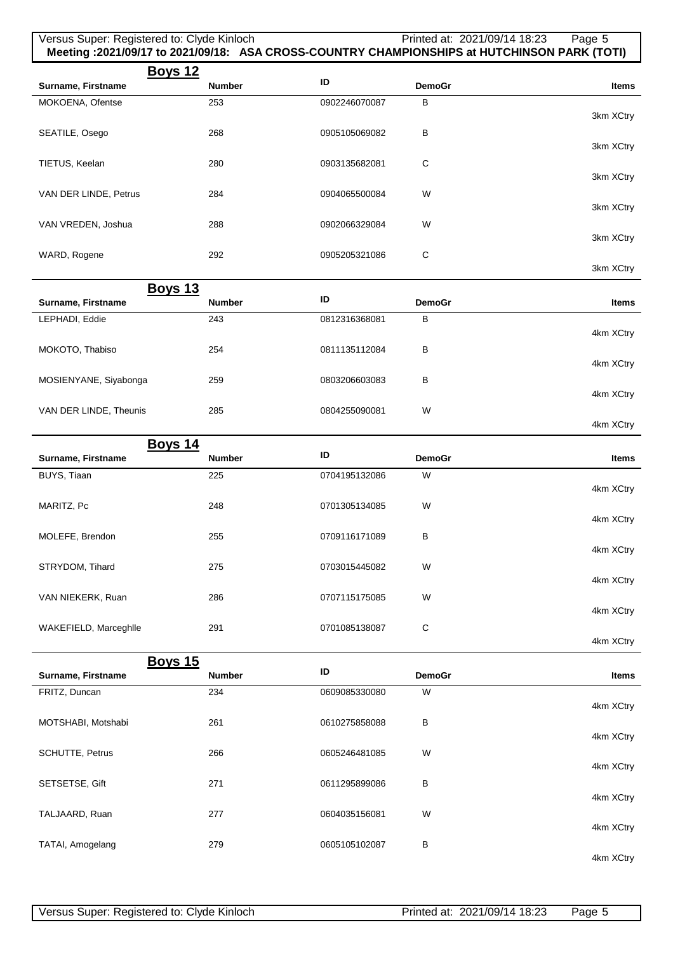| Versus Super: Registered to: Clyde Kinloch<br>Meeting :2021/09/17 to 2021/09/18: ASA CROSS-COUNTRY CHAMPIONSHIPS at HUTCHINSON PARK (TOTI) |               |               | Printed at: 2021/09/14 18:23 | Page 5       |
|--------------------------------------------------------------------------------------------------------------------------------------------|---------------|---------------|------------------------------|--------------|
| <b>Boys 12</b>                                                                                                                             |               | ID            |                              |              |
| Surname, Firstname                                                                                                                         | <b>Number</b> |               | <b>DemoGr</b>                | <b>Items</b> |
| MOKOENA, Ofentse                                                                                                                           | 253           | 0902246070087 | в                            | 3km XCtry    |
| SEATILE, Osego                                                                                                                             | 268           | 0905105069082 | B                            | 3km XCtry    |
| TIETUS, Keelan                                                                                                                             | 280           | 0903135682081 | $\mathsf C$                  |              |
| VAN DER LINDE, Petrus                                                                                                                      | 284           | 0904065500084 | W                            | 3km XCtry    |
| VAN VREDEN, Joshua                                                                                                                         | 288           | 0902066329084 | W                            | 3km XCtry    |
|                                                                                                                                            |               |               |                              | 3km XCtry    |
| WARD, Rogene                                                                                                                               | 292           | 0905205321086 | C                            | 3km XCtry    |
| <b>Boys 13</b>                                                                                                                             |               |               |                              |              |
| Surname, Firstname                                                                                                                         | <b>Number</b> | ID            | <b>DemoGr</b>                | <b>Items</b> |
| LEPHADI, Eddie                                                                                                                             | 243           | 0812316368081 | в                            | 4km XCtry    |
| MOKOTO, Thabiso                                                                                                                            | 254           | 0811135112084 | В                            | 4km XCtry    |
| MOSIENYANE, Siyabonga                                                                                                                      | 259           | 0803206603083 | В                            |              |
| VAN DER LINDE, Theunis                                                                                                                     | 285           | 0804255090081 | W                            | 4km XCtry    |
|                                                                                                                                            |               |               |                              | 4km XCtry    |
| <b>Boys 14</b><br>Surname, Firstname                                                                                                       | <b>Number</b> | ID            | <b>DemoGr</b>                | <b>Items</b> |
| BUYS, Tiaan                                                                                                                                | 225           | 0704195132086 | W                            |              |
|                                                                                                                                            |               |               |                              | 4km XCtry    |
| MARITZ, Pc                                                                                                                                 | 248           | 0701305134085 | W                            | 4km XCtry    |
| MOLEFE, Brendon                                                                                                                            | 255           | 0709116171089 | В                            | 4km XCtry    |
| STRYDOM, Tihard                                                                                                                            | 275           | 0703015445082 | W                            | 4km XCtry    |
| VAN NIEKERK, Ruan                                                                                                                          | 286           | 0707115175085 | W                            | 4km XCtry    |
| WAKEFIELD, Marceghlle                                                                                                                      | 291           | 0701085138087 | C                            |              |
|                                                                                                                                            |               |               |                              | 4km XCtry    |
| <b>Boys 15</b>                                                                                                                             |               |               |                              |              |
| Surname, Firstname                                                                                                                         | <b>Number</b> | ID            | <b>DemoGr</b>                | <b>Items</b> |
| FRITZ, Duncan                                                                                                                              | 234           | 0609085330080 | W                            | 4km XCtry    |
| MOTSHABI, Motshabi                                                                                                                         | 261           | 0610275858088 | В                            | 4km XCtry    |
| SCHUTTE, Petrus                                                                                                                            | 266           | 0605246481085 | W                            |              |
| SETSETSE, Gift                                                                                                                             | 271           | 0611295899086 | в                            | 4km XCtry    |
| TALJAARD, Ruan                                                                                                                             | 277           | 0604035156081 | W                            | 4km XCtry    |
| TATAI, Amogelang                                                                                                                           | 279           | 0605105102087 | в                            | 4km XCtry    |
|                                                                                                                                            |               |               |                              | 4km XCtry    |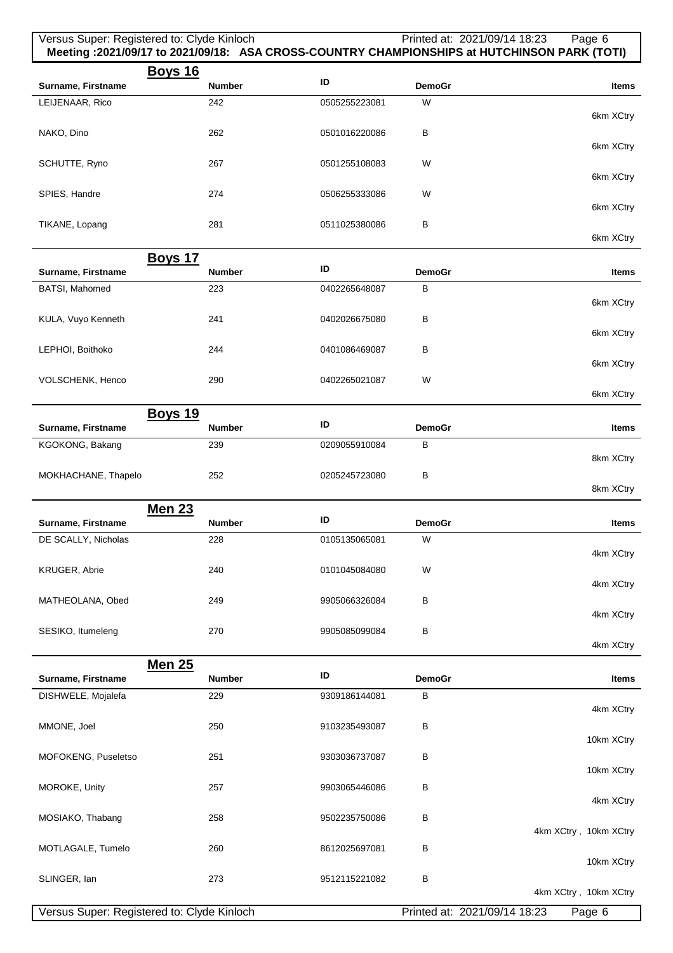| Versus Super: Registered to: Clyde Kinloch |                                 |               |                    | Printed at: 2021/09/14 18:23<br>Page 6<br>Meeting: 2021/09/17 to 2021/09/18: ASA CROSS-COUNTRY CHAMPIONSHIPS at HUTCHINSON PARK (TOTI) |
|--------------------------------------------|---------------------------------|---------------|--------------------|----------------------------------------------------------------------------------------------------------------------------------------|
| Surname, Firstname                         | <b>Boys 16</b><br><b>Number</b> | ID            | <b>DemoGr</b>      | <b>Items</b>                                                                                                                           |
| LEIJENAAR, Rico                            | 242                             | 0505255223081 | W                  |                                                                                                                                        |
| NAKO, Dino                                 | 262                             | 0501016220086 | В                  | 6km XCtry                                                                                                                              |
| SCHUTTE, Ryno                              | 267                             | 0501255108083 | W                  | 6km XCtry                                                                                                                              |
| SPIES, Handre                              | 274                             | 0506255333086 | W                  | 6km XCtry<br>6km XCtry                                                                                                                 |
| TIKANE, Lopang                             | 281                             | 0511025380086 | В                  | 6km XCtry                                                                                                                              |
|                                            | <b>Boys 17</b>                  |               |                    |                                                                                                                                        |
| Surname, Firstname                         | <b>Number</b>                   | ID            | <b>DemoGr</b>      | Items                                                                                                                                  |
| BATSI, Mahomed                             | 223                             | 0402265648087 | В                  |                                                                                                                                        |
| KULA, Vuyo Kenneth                         | 241                             | 0402026675080 | В                  | 6km XCtry<br>6km XCtry                                                                                                                 |
| LEPHOI, Boithoko                           | 244                             | 0401086469087 | В                  | 6km XCtry                                                                                                                              |
| VOLSCHENK, Henco                           | 290                             | 0402265021087 | W                  | 6km XCtry                                                                                                                              |
|                                            | <b>Boys 19</b>                  |               |                    |                                                                                                                                        |
| Surname, Firstname                         | <b>Number</b>                   | ID            | <b>DemoGr</b>      | <b>Items</b>                                                                                                                           |
| KGOKONG, Bakang                            | 239                             | 0209055910084 | В                  | 8km XCtry                                                                                                                              |
| MOKHACHANE, Thapelo                        | 252                             | 0205245723080 | В                  | 8km XCtry                                                                                                                              |
|                                            | <b>Men 23</b>                   | ID            |                    |                                                                                                                                        |
| Surname, Firstname                         | <b>Number</b>                   |               | <b>DemoGr</b>      | <b>Items</b>                                                                                                                           |
| DE SCALLY, Nicholas                        | 228                             | 0105135065081 | vv                 | 4km XCtry                                                                                                                              |
| KRUGER, Abrie                              | 240                             | 0101045084080 | W                  | 4km XCtry                                                                                                                              |
| MATHEOLANA, Obed                           | 249                             | 9905066326084 | В                  | 4km XCtry                                                                                                                              |
| SESIKO, Itumeleng                          | 270                             | 9905085099084 | В                  | 4km XCtry                                                                                                                              |
|                                            | <b>Men 25</b>                   | ID            |                    |                                                                                                                                        |
| Surname, Firstname                         | <b>Number</b><br>229            | 9309186144081 | <b>DemoGr</b><br>В | Items                                                                                                                                  |
| DISHWELE, Mojalefa                         |                                 |               |                    | 4km XCtry                                                                                                                              |
| MMONE, Joel                                | 250                             | 9103235493087 | В                  | 10km XCtry                                                                                                                             |
| MOFOKENG, Puseletso                        | 251                             | 9303036737087 | В                  | 10km XCtry                                                                                                                             |
| MOROKE, Unity                              | 257                             | 9903065446086 | В                  | 4km XCtry                                                                                                                              |
| MOSIAKO, Thabang                           | 258                             | 9502235750086 | В                  | 4km XCtry, 10km XCtry                                                                                                                  |
| MOTLAGALE, Tumelo                          | 260                             | 8612025697081 | В                  | 10km XCtry                                                                                                                             |
| SLINGER, lan                               | 273                             | 9512115221082 | B                  | 4km XCtry, 10km XCtry                                                                                                                  |
| Versus Super: Registered to: Clyde Kinloch |                                 |               |                    | Printed at: 2021/09/14 18:23<br>Page 6                                                                                                 |